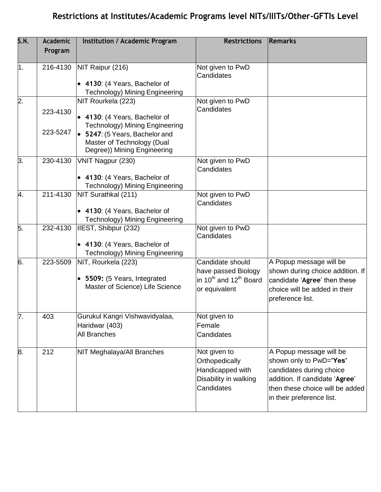## **Restrictions at Institutes/Academic Programs level NITs/IIITs/Other-GFTIs Level**

| S.N.             | <b>Academic</b>      | <b>Institution / Academic Program</b>                                                                                                                                                       | <b>Restrictions</b>                                                                                        | Remarks                                                                                                                                                                          |
|------------------|----------------------|---------------------------------------------------------------------------------------------------------------------------------------------------------------------------------------------|------------------------------------------------------------------------------------------------------------|----------------------------------------------------------------------------------------------------------------------------------------------------------------------------------|
|                  | Program              |                                                                                                                                                                                             |                                                                                                            |                                                                                                                                                                                  |
| 1.               | 216-4130             | NIT Raipur (216)<br>• 4130: (4 Years, Bachelor of<br><b>Technology) Mining Engineering</b>                                                                                                  | Not given to PwD<br>Candidates                                                                             |                                                                                                                                                                                  |
| $\overline{2}$ . | 223-4130<br>223-5247 | NIT Rourkela (223)<br>• 4130: (4 Years, Bachelor of<br><b>Technology) Mining Engineering</b><br>• 5247: (5 Years, Bachelor and<br>Master of Technology (Dual<br>Degree)) Mining Engineering | Not given to PwD<br>Candidates                                                                             |                                                                                                                                                                                  |
| 3.               | 230-4130             | VNIT Nagpur (230)<br>• 4130: (4 Years, Bachelor of<br><b>Technology) Mining Engineering</b>                                                                                                 | Not given to PwD<br>Candidates                                                                             |                                                                                                                                                                                  |
| 4.               | 211-4130             | NIT Surathkal (211)<br>• 4130: (4 Years, Bachelor of<br><b>Technology) Mining Engineering</b>                                                                                               | Not given to PwD<br>Candidates                                                                             |                                                                                                                                                                                  |
| 5.               | 232-4130             | IIEST, Shibpur (232)<br>• 4130: (4 Years, Bachelor of<br><b>Technology) Mining Engineering</b>                                                                                              | Not given to PwD<br>Candidates                                                                             |                                                                                                                                                                                  |
| 6.               | 223-5509             | NIT, Rourkela (223)<br>• 5509: (5 Years, Integrated<br>Master of Science) Life Science                                                                                                      | Candidate should<br>have passed Biology<br>in 10 <sup>th</sup> and 12 <sup>th</sup> Board<br>or equivalent | A Popup message will be<br>shown during choice addition. If<br>candidate 'Agree' then these<br>choice will be added in their<br>preference list.                                 |
| 7.               | 403                  | Gurukul Kangri Vishwavidyalaa,<br>Haridwar (403)<br>All Branches                                                                                                                            | Not given to<br>Female<br>Candidates                                                                       |                                                                                                                                                                                  |
| 8.               | 212                  | NIT Meghalaya/All Branches                                                                                                                                                                  | Not given to<br>Orthopedically<br>Handicapped with<br>Disability in walking<br>Candidates                  | A Popup message will be<br>shown only to PwD='Yes'<br>candidates during choice<br>addition. If candidate 'Agree'<br>then these choice will be added<br>in their preference list. |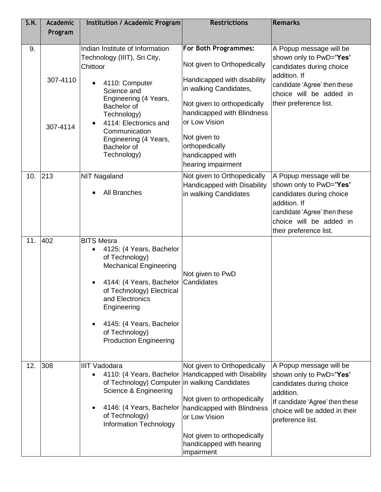| <b>S.N.</b> | <b>Academic</b><br>Program | Institution / Academic Program                                                                                                                                                                                                                                                                       | <b>Restrictions</b>                                                                                                                                                                                                      | <b>Remarks</b>                                                                                                                                                                      |
|-------------|----------------------------|------------------------------------------------------------------------------------------------------------------------------------------------------------------------------------------------------------------------------------------------------------------------------------------------------|--------------------------------------------------------------------------------------------------------------------------------------------------------------------------------------------------------------------------|-------------------------------------------------------------------------------------------------------------------------------------------------------------------------------------|
| 9.          | 307-4110                   | Indian Institute of Information<br>Technology (IIIT), Sri City,<br>Chittoor<br>4110: Computer<br>Science and<br>Engineering (4 Years,<br>Bachelor of<br>Technology)                                                                                                                                  | <b>For Both Programmes:</b><br>Not given to Orthopedically<br>Handicapped with disability<br>in walking Candidates,<br>Not given to orthopedically<br>handicapped with Blindness<br>or Low Vision                        | A Popup message will be<br>shown only to PwD='Yes'<br>candidates during choice<br>addition. If<br>candidate 'Agree' then these<br>choice will be added in<br>their preference list. |
|             | 307-4114                   | 4114: Electronics and<br>Communication<br>Engineering (4 Years,<br>Bachelor of<br>Technology)                                                                                                                                                                                                        | Not given to<br>orthopedically<br>handicapped with<br>hearing impairment                                                                                                                                                 |                                                                                                                                                                                     |
| 10.         | 213                        | <b>NIT Nagaland</b><br><b>All Branches</b>                                                                                                                                                                                                                                                           | Not given to Orthopedically<br>Handicapped with Disability<br>in walking Candidates                                                                                                                                      | A Popup message will be<br>shown only to PwD='Yes'<br>candidates during choice<br>addition. If<br>candidate 'Agree' then these<br>choice will be added in<br>their preference list. |
| 11.         | 402                        | <b>BITS Mesra</b><br>4125: (4 Years, Bachelor<br>$\bullet$<br>of Technology)<br><b>Mechanical Engineering</b><br>4144: (4 Years, Bachelor<br>$\bullet$<br>of Technology) Electrical<br>and Electronics<br>Engineering<br>4145: (4 Years, Bachelor<br>of Technology)<br><b>Production Engineering</b> | Not given to PwD<br>Candidates                                                                                                                                                                                           |                                                                                                                                                                                     |
| 12.         | 308                        | <b>IIIT Vadodara</b><br>4110: (4 Years, Bachelor<br>of Technology) Computer in walking Candidates<br>Science & Engineering<br>4146: (4 Years, Bachelor<br>$\bullet$<br>of Technology)<br><b>Information Technology</b>                                                                               | Not given to Orthopedically<br><b>Handicapped with Disability</b><br>Not given to orthopedically<br>handicapped with Blindness<br>or Low Vision<br>Not given to orthopedically<br>handicapped with hearing<br>impairment | A Popup message will be<br>shown only to PwD='Yes'<br>candidates during choice<br>addition.<br>If candidate 'Agree' then these<br>choice will be added in their<br>preference list. |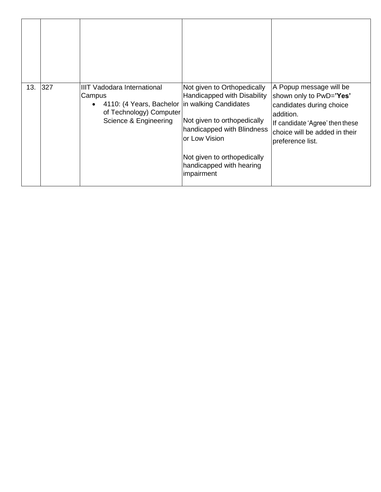| 13. | 327 | <b>IIIT Vadodara International</b><br>Campus<br>4110: (4 Years, Bachelor   in walking Candidates<br>$\bullet$<br>of Technology) Computer<br>Science & Engineering | Not given to Orthopedically<br>Handicapped with Disability<br>Not given to orthopedically<br>handicapped with Blindness<br>or Low Vision<br>Not given to orthopedically<br>handicapped with hearing<br>impairment | A Popup message will be<br>shown only to PwD='Yes'<br>candidates during choice<br>laddition.<br>If candidate 'Agree' then these<br>choice will be added in their<br>preference list. |
|-----|-----|-------------------------------------------------------------------------------------------------------------------------------------------------------------------|-------------------------------------------------------------------------------------------------------------------------------------------------------------------------------------------------------------------|--------------------------------------------------------------------------------------------------------------------------------------------------------------------------------------|